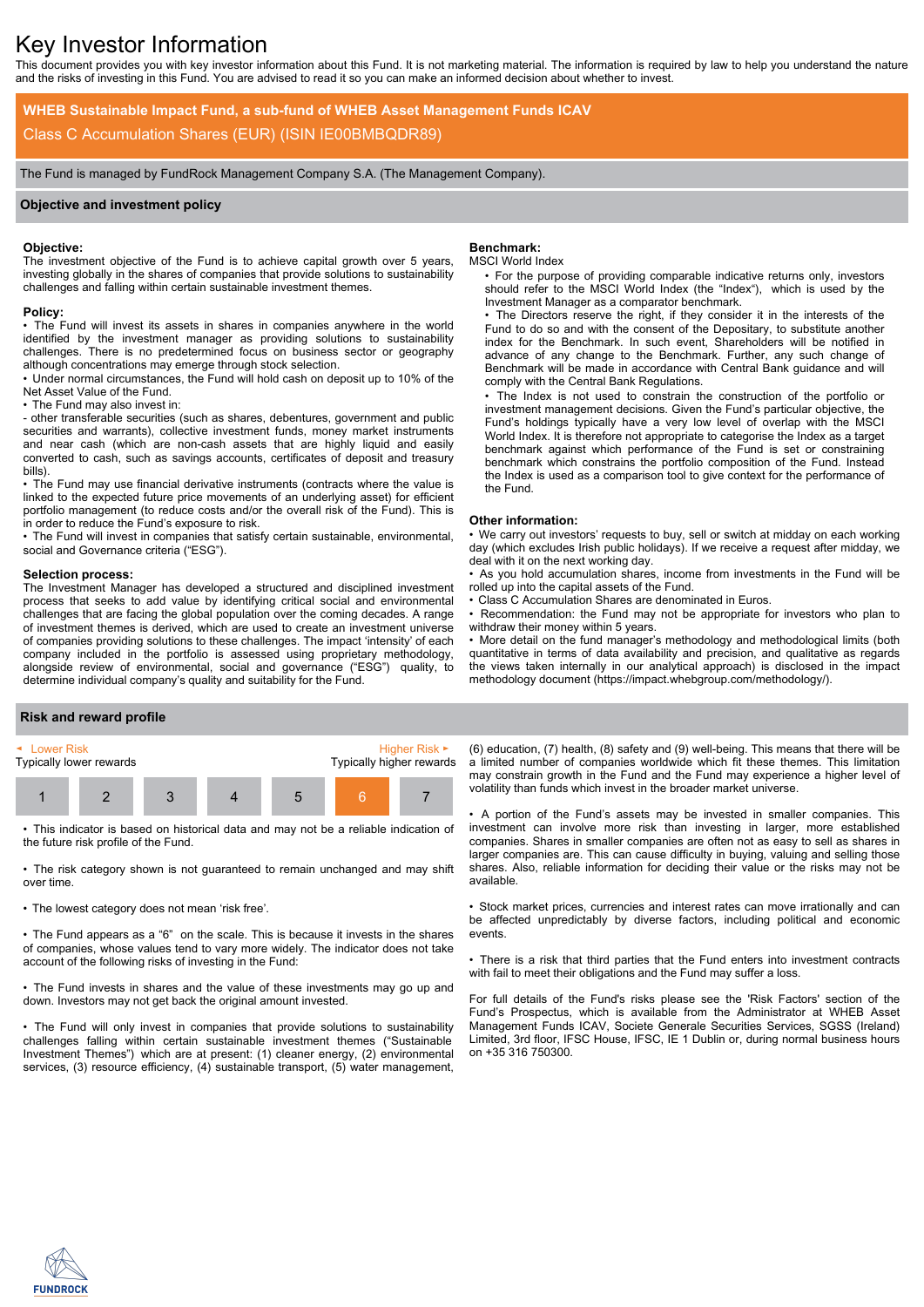# Key Investor Information

This document provides you with key investor information about this Fund. It is not marketing material. The information is required by law to help you understand the nature and the risks of investing in this Fund. You are advised to read it so you can make an informed decision about whether to invest.

**WHEB Sustainable Impact Fund, a sub-fund of WHEB Asset Management Funds ICAV** Class C Accumulation Shares (EUR) (ISIN IE00BMBQDR89)

The Fund is managed by FundRock Management Company S.A. (The Management Company).

## **Objective and investment policy**

### **Objective:**

The investment objective of the Fund is to achieve capital growth over 5 years, investing globally in the shares of companies that provide solutions to sustainability challenges and falling within certain sustainable investment themes.

#### **Policy:**

• The Fund will invest its assets in shares in companies anywhere in the world identified by the investment manager as providing solutions to sustainability challenges. There is no predetermined focus on business sector or geography although concentrations may emerge through stock selection.

• Under normal circumstances, the Fund will hold cash on deposit up to 10% of the Net Asset Value of the Fund.

• The Fund may also invest in:

- other transferable securities (such as shares, debentures, government and public securities and warrants), collective investment funds, money market instruments and near cash (which are non-cash assets that are highly liquid and easily converted to cash, such as savings accounts, certificates of deposit and treasury bills).

• The Fund may use financial derivative instruments (contracts where the value is linked to the expected future price movements of an underlying asset) for efficient portfolio management (to reduce costs and/or the overall risk of the Fund). This is in order to reduce the Fund's exposure to risk.

• The Fund will invest in companies that satisfy certain sustainable, environmental, social and Governance criteria ("ESG").

#### **Selection process:**

The Investment Manager has developed a structured and disciplined investment process that seeks to add value by identifying critical social and environmental challenges that are facing the global population over the coming decades. A range of investment themes is derived, which are used to create an investment universe of companies providing solutions to these challenges. The impact 'intensity' of each company included in the portfolio is assessed using proprietary methodology, alongside review of environmental, social and governance ("ESG") quality, to determine individual company's quality and suitability for the Fund.

## **Benchmark:**

#### MSCI World Index

• For the purpose of providing comparable indicative returns only, investors should refer to the MSCI World Index (the "Index"), which is used by the Investment Manager as a comparator benchmark.

• The Directors reserve the right, if they consider it in the interests of the Fund to do so and with the consent of the Depositary, to substitute another index for the Benchmark. In such event, Shareholders will be notified in advance of any change to the Benchmark. Further, any such change of Benchmark will be made in accordance with Central Bank guidance and will comply with the Central Bank Regulations.

• The Index is not used to constrain the construction of the portfolio or investment management decisions. Given the Fund's particular objective, the Fund's holdings typically have a very low level of overlap with the MSCI World Index. It is therefore not appropriate to categorise the Index as a target benchmark against which performance of the Fund is set or constraining benchmark which constrains the portfolio composition of the Fund. Instead the Index is used as a comparison tool to give context for the performance of the Fund.

#### **Other information:**

• We carry out investors' requests to buy, sell or switch at midday on each working day (which excludes Irish public holidays). If we receive a request after midday, we deal with it on the next working day.

• As you hold accumulation shares, income from investments in the Fund will be rolled up into the capital assets of the Fund.

Class C Accumulation Shares are denominated in Euros.

Recommendation: the Fund may not be appropriate for investors who plan to withdraw their money within 5 years.

• More detail on the fund manager's methodology and methodological limits (both quantitative in terms of data availability and precision, and qualitative as regards the views taken internally in our analytical approach) is disclosed in the impact methodology document (https://impact.whebgroup.com/methodology/).

#### **Risk and reward profile**



• This indicator is based on historical data and may not be a reliable indication of the future risk profile of the Fund.

• The risk category shown is not guaranteed to remain unchanged and may shift over time.

• The lowest category does not mean 'risk free'.

• The Fund appears as a "6" on the scale. This is because it invests in the shares of companies, whose values tend to vary more widely. The indicator does not take account of the following risks of investing in the Fund:

• The Fund invests in shares and the value of these investments may go up and down. Investors may not get back the original amount invested.

• The Fund will only invest in companies that provide solutions to sustainability challenges falling within certain sustainable investment themes ("Sustainable Investment Themes") which are at present: (1) cleaner energy, (2) environmental services, (3) resource efficiency, (4) sustainable transport, (5) water management,

(6) education, (7) health, (8) safety and (9) well-being. This means that there will be a limited number of companies worldwide which fit these themes. This limitation may constrain growth in the Fund and the Fund may experience a higher level of volatility than funds which invest in the broader market universe.

• A portion of the Fund's assets may be invested in smaller companies. This investment can involve more risk than investing in larger, more established companies. Shares in smaller companies are often not as easy to sell as shares in larger companies are. This can cause difficulty in buying, valuing and selling those shares. Also, reliable information for deciding their value or the risks may not be available.

• Stock market prices, currencies and interest rates can move irrationally and can be affected unpredictably by diverse factors, including political and economic events.

• There is a risk that third parties that the Fund enters into investment contracts with fail to meet their obligations and the Fund may suffer a loss.

For full details of the Fund's risks please see the 'Risk Factors' section of the Fund's Prospectus, which is available from the Administrator at WHEB Asset Management Funds ICAV, Societe Generale Securities Services, SGSS (Ireland) Limited, 3rd floor, IFSC House, IFSC, IE 1 Dublin or, during normal business hours on +35 316 750300.